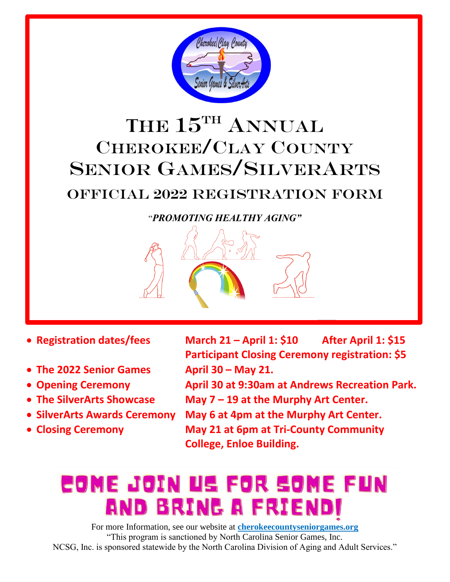

# **T**HE 15TH ANNUAL CHEROKEE/CLAY COUNTY SENIOR GAMES/SILVERARTS

# OFFICIAL 2022 REGISTRATION FORM

### "*PROMOTING HEALTHY AGING"*



- **The 2022 Senior Games April 30 – May 21.**
- 
- 
- 
- 
- **Registration dates/fees March 21 – April 1: \$10 After April 1: \$15 Participant Closing Ceremony registration: \$5**
- **Opening Ceremony April 30 at 9:30am at Andrews Recreation Park.**
- **The SilverArts Showcase May 7 – 19 at the Murphy Art Center.**
- **SilverArts Awards Ceremony May 6 at 4pm at the Murphy Art Center.**
- **Closing Ceremony May 21 at 6pm at Tri-County Community College, Enloe Building.**

# COME JOIN US FOR SOME FUN AND BRING A FRI

For more Information, see our website at **cherokeecountyseniorgames.org** "This program is sanctioned by North Carolina Senior Games, Inc. NCSG, Inc. is sponsored statewide by the North Carolina Division of Aging and Adult Services."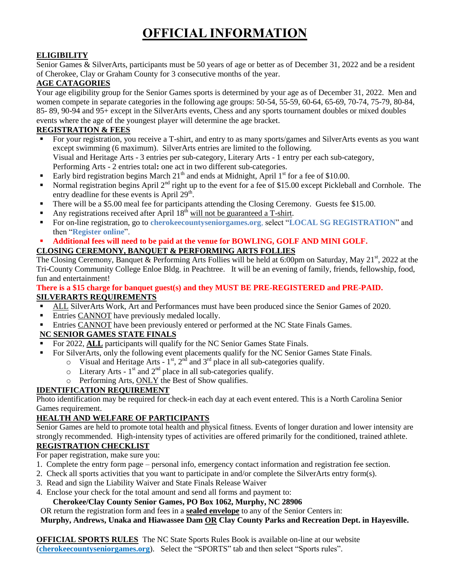# **OFFICIAL INFORMATION**

#### **ELIGIBILITY**

Senior Games & SilverArts, participants must be 50 years of age or better as of December 31, 2022 and be a resident of Cherokee, Clay or Graham County for 3 consecutive months of the year.

#### **AGE CATAGORIES**

Your age eligibility group for the Senior Games sports is determined by your age as of December 31, 2022. Men and women compete in separate categories in the following age groups: 50-54, 55-59, 60-64, 65-69, 70-74, 75-79, 80-84, 85- 89, 90-94 and 95+ except in the SilverArts events, Chess and any sports tournament doubles or mixed doubles events where the age of the youngest player will determine the age bracket.

#### **REGISTRATION & FEES**

- For your registration, you receive a T-shirt, and entry to as many sports/games and SilverArts events as you want except swimming (6 maximum). SilverArts entries are limited to the following. Visual and Heritage Arts - 3 entries per sub-category, Literary Arts - 1 entry per each sub-category,
- Performing Arts 2 entries total**:** one act in two different sub-categories.
- Early bird registration begins March  $21<sup>th</sup>$  and ends at Midnight, April  $1<sup>st</sup>$  for a fee of \$10.00.
- Normal registration begins April  $2<sup>nd</sup>$  right up to the event for a fee of \$15.00 except Pickleball and Cornhole. The entry deadline for these events is April 29<sup>th</sup>.
- There will be a \$5.00 meal fee for participants attending the Closing Ceremony. Guests fee \$15.00.
- Any registrations received after April  $18<sup>th</sup>$  will not be guaranteed a T-shirt.
- For on-line registration, go to **cherokeecountyseniorgames.org**, select "**LOCAL SG REGISTRATION**" and then "**Register online**".

#### **Additional fees will need to be paid at the venue for BOWLING, GOLF AND MINI GOLF. CLOSING CEREMONY, BANQUET & PERFORMING ARTS FOLLIES**

The Closing Ceremony, Banquet & Performing Arts Follies will be held at  $6:00$ pm on Saturday, May 21<sup>st</sup>, 2022 at the Tri-County Community College Enloe Bldg. in Peachtree. It will be an evening of family, friends, fellowship, food, fun and entertainment!

#### **There is a \$15 charge for banquet guest(s) and they MUST BE PRE-REGISTERED and PRE-PAID. SILVERARTS REQUIREMENTS**

- ALL SilverArts Work, Art and Performances must have been produced since the Senior Games of 2020.
- **Entries CANNOT have previously medaled locally.**
- Entries CANNOT have been previously entered or performed at the NC State Finals Games.

#### **NC SENIOR GAMES STATE FINALS**

- For 2022, **ALL** participants will qualify for the NC Senior Games State Finals.
- For SilverArts, only the following event placements qualify for the NC Senior Games State Finals.
	- $\circ$  Visual and Heritage Arts 1<sup>st</sup>, 2<sup>nd</sup> and 3<sup>rd</sup> place in all sub-categories qualify.
	- $\circ$  Literary Arts 1<sup>st</sup> and 2<sup>nd</sup> place in all sub-categories qualify.
	- o Performing Arts, ONLY the Best of Show qualifies.

#### **IDENTIFICATION REQUIREMENT**

Photo identification may be required for check-in each day at each event entered. This is a North Carolina Senior Games requirement.

#### **HEALTH AND WELFARE OF PARTICIPANTS**

Senior Games are held to promote total health and physical fitness. Events of longer duration and lower intensity are strongly recommended. High-intensity types of activities are offered primarily for the conditioned, trained athlete. **REGISTRATION CHECKLIST** 

For paper registration, make sure you:

- 1. Complete the entry form page personal info, emergency contact information and registration fee section.
- 2. Check all sports activities that you want to participate in and/or complete the SilverArts entry form(s).
- 3. Read and sign the Liability Waiver and State Finals Release Waiver
- 4. Enclose your check for the total amount and send all forms and payment to:

#### **Cherokee/Clay County Senior Games, PO Box 1062, Murphy, NC 28906**

OR return the registration form and fees in a **sealed envelope** to any of the Senior Centers in:

**Murphy, Andrews, Unaka and Hiawassee Dam OR Clay County Parks and Recreation Dept. in Hayesville.**

**OFFICIAL SPORTS RULES** The NC State Sports Rules Book is available on-line at our website (**cherokeecountyseniorgames.org**). Select the "SPORTS" tab and then select "Sports rules".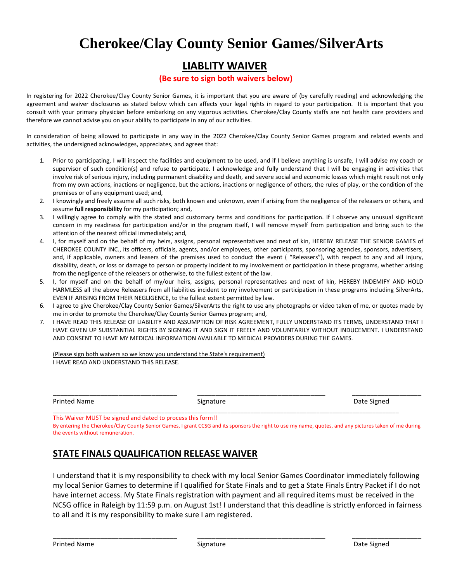#### **LIABLITY WAIVER**

#### **(Be sure to sign both waivers below)**

In registering for 2022 Cherokee/Clay County Senior Games, it is important that you are aware of (by carefully reading) and acknowledging the agreement and waiver disclosures as stated below which can affects your legal rights in regard to your participation. It is important that you consult with your primary physician before embarking on any vigorous activities. Cherokee/Clay County staffs are not health care providers and therefore we cannot advise you on your ability to participate in any of our activities.

In consideration of being allowed to participate in any way in the 2022 Cherokee/Clay County Senior Games program and related events and activities, the undersigned acknowledges, appreciates, and agrees that:

- 1. Prior to participating, I will inspect the facilities and equipment to be used, and if I believe anything is unsafe, I will advise my coach or supervisor of such condition(s) and refuse to participate. I acknowledge and fully understand that I will be engaging in activities that involve risk of serious injury, including permanent disability and death, and severe social and economic losses which might result not only from my own actions, inactions or negligence, but the actions, inactions or negligence of others, the rules of play, or the condition of the premises or of any equipment used; and,
- 2. I knowingly and freely assume all such risks, both known and unknown, even if arising from the negligence of the releasers or others, and assume **full responsibility** for my participation; and,
- 3. I willingly agree to comply with the stated and customary terms and conditions for participation. If I observe any unusual significant concern in my readiness for participation and/or in the program itself, I will remove myself from participation and bring such to the attention of the nearest official immediately; and,
- 4. I, for myself and on the behalf of my heirs, assigns, personal representatives and next of kin, HEREBY RELEASE THE SENIOR GAMES of CHEROKEE COUNTY INC., its officers, officials, agents, and/or employees, other participants, sponsoring agencies, sponsors, advertisers, and, if applicable, owners and leasers of the premises used to conduct the event ( "Releasers"), with respect to any and all injury, disability, death, or loss or damage to person or property incident to my involvement or participation in these programs, whether arising from the negligence of the releasers or otherwise, to the fullest extent of the law.
- 5. I, for myself and on the behalf of my/our heirs, assigns, personal representatives and next of kin, HEREBY INDEMIFY AND HOLD HARMLESS all the above Releasers from all liabilities incident to my involvement or participation in these programs including SilverArts, EVEN IF ARISING FROM THEIR NEGLIGENCE, to the fullest extent permitted by law.
- 6. I agree to give Cherokee/Clay County Senior Games/SilverArts the right to use any photographs or video taken of me, or quotes made by me in order to promote the Cherokee/Clay County Senior Games program; and,
- 7. I HAVE READ THIS RELEASE OF LIABILITY AND ASSUMPTION OF RISK AGREEMENT, FULLY UNDERSTAND ITS TERMS, UNDERSTAND THAT I HAVE GIVEN UP SUBSTANTIAL RIGHTS BY SIGNING IT AND SIGN IT FREELY AND VOLUNTARILY WITHOUT INDUCEMENT. I UNDERSTAND AND CONSENT TO HAVE MY MEDICAL INFORMATION AVAILABLE TO MEDICAL PROVIDERS DURING THE GAMES.

(Please sign both waivers so we know you understand the State's requirement) I HAVE READ AND UNDERSTAND THIS RELEASE.

Printed Name **Signature** Signature **Signature Signature Signature Signature Signature Signature C** 

\_\_\_\_\_\_\_\_\_\_\_\_\_\_\_\_\_\_\_\_\_\_\_\_\_\_\_\_\_\_\_\_\_\_\_\_\_\_\_\_\_\_\_\_\_\_\_\_\_\_\_\_\_\_\_\_\_\_\_\_\_\_\_\_\_\_\_\_\_\_\_\_\_\_\_\_\_\_\_\_\_\_\_\_\_\_\_\_\_\_\_\_\_\_\_\_\_\_\_\_\_\_\_\_\_ This Waiver MUST be signed and dated to process this form!!

By entering the Cherokee/Clay County Senior Games, I grant CCSG and its sponsors the right to use my name, quotes, and any pictures taken of me during the events without remuneration.

\_\_\_\_\_\_\_\_\_\_\_\_\_\_\_\_\_\_\_\_\_\_\_\_\_\_\_\_\_\_\_\_\_\_ \_\_\_\_\_\_\_\_\_\_\_\_\_\_\_\_\_\_\_\_\_\_\_\_\_\_\_\_\_\_\_\_\_\_\_ \_\_\_\_\_\_\_\_\_\_\_\_\_\_\_\_\_\_\_

#### **STATE FINALS QUALIFICATION RELEASE WAIVER**

I understand that it is my responsibility to check with my local Senior Games Coordinator immediately following my local Senior Games to determine if I qualified for State Finals and to get a State Finals Entry Packet if I do not have internet access. My State Finals registration with payment and all required items must be received in the NCSG office in Raleigh by 11:59 p.m. on August 1st! I understand that this deadline is strictly enforced in fairness to all and it is my responsibility to make sure I am registered.

\_\_\_\_\_\_\_\_\_\_\_\_\_\_\_\_\_\_\_\_\_\_\_\_\_\_\_\_\_\_\_\_\_\_ \_\_\_\_\_\_\_\_\_\_\_\_\_\_\_\_\_\_\_\_\_\_\_\_\_\_\_\_\_\_\_\_\_\_\_ \_\_\_\_\_\_\_\_\_\_\_\_\_\_\_\_\_\_\_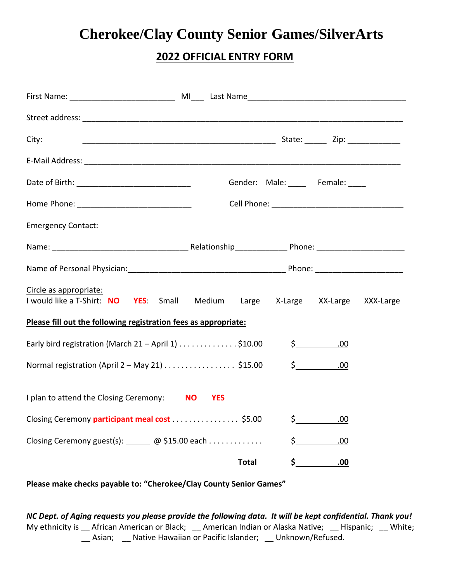#### **2022 OFFICIAL ENTRY FORM**

| City:                                                                                                                |                |              |                       |                      |  |
|----------------------------------------------------------------------------------------------------------------------|----------------|--------------|-----------------------|----------------------|--|
|                                                                                                                      |                |              |                       |                      |  |
|                                                                                                                      |                |              | Gender: Male: Female: |                      |  |
|                                                                                                                      |                |              |                       |                      |  |
| <b>Emergency Contact:</b>                                                                                            |                |              |                       |                      |  |
|                                                                                                                      |                |              |                       |                      |  |
| Name of Personal Physician: 1990 and 200 million Phone: 200 million Phone: 200 million Phone: 200 million Physician: |                |              |                       |                      |  |
| Circle as appropriate:<br>I would like a T-Shirt: NO YES: Small Medium Large X-Large XX-Large XXX-Large              |                |              |                       |                      |  |
| Please fill out the following registration fees as appropriate:                                                      |                |              |                       |                      |  |
| Early bird registration (March 21 - April 1) \$10.00                                                                 |                |              |                       | $\frac{1}{2}$<br>.00 |  |
| Normal registration (April 2 – May 21) \$15.00                                                                       |                |              |                       | \$ 00                |  |
| I plan to attend the Closing Ceremony: NO                                                                            | <b>SALATES</b> |              |                       |                      |  |
| Closing Ceremony participant meal cost  \$5.00                                                                       |                |              |                       | $\sharp$<br>.00      |  |
|                                                                                                                      |                |              |                       | $\sin 0.00$          |  |
|                                                                                                                      |                | <b>Total</b> |                       | $\sin 0.00$          |  |

**Please make checks payable to: "Cherokee/Clay County Senior Games"**

*NC Dept. of Aging requests you please provide the following data. It will be kept confidential. Thank you!* My ethnicity is \_\_ African American or Black; \_\_ American Indian or Alaska Native; \_\_ Hispanic; \_\_ White; \_\_ Asian; \_\_ Native Hawaiian or Pacific Islander; \_\_ Unknown/Refused.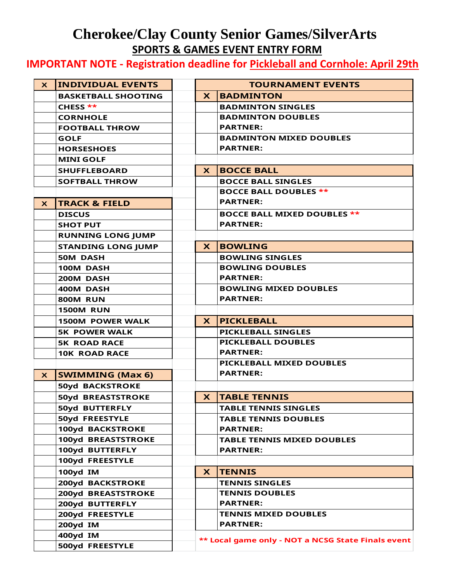### **Cherokee/Clay County Senior Games/SilverArts SPORTS & GAMES EVENT ENTRY FORM**

**IMPORTANT NOTE - Registration deadline for Pickleball and Cornhole: April 29th**

| $\boldsymbol{\mathsf{X}}$ | <b>INDIVIDUAL EVENTS</b>   |                 | <b>TOURNAMENT EVENTS</b>                           |
|---------------------------|----------------------------|-----------------|----------------------------------------------------|
|                           | <b>BASKETBALL SHOOTING</b> | $\mathbf{x}$    | <b>BADMINTON</b>                                   |
|                           | CHESS **                   |                 | <b>BADMINTON SINGLES</b>                           |
|                           | <b>CORNHOLE</b>            |                 | <b>BADMINTON DOUBLES</b>                           |
|                           | <b>FOOTBALL THROW</b>      |                 | <b>PARTNER:</b>                                    |
|                           | <b>GOLF</b>                |                 | <b>BADMINTON MIXED DOUBLES</b>                     |
|                           | <b>HORSESHOES</b>          |                 | <b>PARTNER:</b>                                    |
|                           | <b>MINI GOLF</b>           |                 |                                                    |
|                           | <b>SHUFFLEBOARD</b>        | $\mathsf{x}$    | <b>BOCCE BALL</b>                                  |
|                           | <b>SOFTBALL THROW</b>      |                 | <b>BOCCE BALL SINGLES</b>                          |
|                           |                            |                 | <b>BOCCE BALL DOUBLES **</b>                       |
| $\mathbf{x}$              | <b>TRACK &amp; FIELD</b>   |                 | <b>PARTNER:</b>                                    |
|                           | <b>DISCUS</b>              |                 | <b>BOCCE BALL MIXED DOUBLES **</b>                 |
|                           | <b>SHOT PUT</b>            |                 | <b>PARTNER:</b>                                    |
|                           | <b>RUNNING LONG JUMP</b>   |                 |                                                    |
|                           | <b>STANDING LONG JUMP</b>  | $\mathbf{x}$    | <b>BOWLING</b>                                     |
|                           | <b>50M DASH</b>            |                 | <b>BOWLING SINGLES</b>                             |
|                           | 100M DASH                  |                 | <b>BOWLING DOUBLES</b>                             |
|                           | 200M DASH                  | <b>PARTNER:</b> |                                                    |
|                           | 400M DASH                  |                 | <b>BOWLING MIXED DOUBLES</b>                       |
|                           | <b>800M RUN</b>            |                 | <b>PARTNER:</b>                                    |
|                           | <b>1500M RUN</b>           |                 |                                                    |
|                           | <b>1500M POWER WALK</b>    | <b>X</b>        | <b>PICKLEBALL</b>                                  |
|                           | <b>5K POWER WALK</b>       |                 | <b>PICKLEBALL SINGLES</b>                          |
|                           | <b>5K ROAD RACE</b>        |                 | <b>PICKLEBALL DOUBLES</b>                          |
|                           | <b>10K ROAD RACE</b>       |                 | <b>PARTNER:</b>                                    |
|                           |                            |                 | PICKLEBALL MIXED DOUBLES                           |
| X                         | <b>SWIMMING (Max 6)</b>    |                 | <b>PARTNER:</b>                                    |
|                           | <b>50yd BACKSTROKE</b>     |                 |                                                    |
|                           | <b>50yd BREASTSTROKE</b>   | X.              | <b>TABLE TENNIS</b>                                |
|                           | 50yd BUTTERFLY             |                 | <b>TABLE TENNIS SINGLES</b>                        |
|                           | 50yd FREESTYLE             |                 | <b>TABLE TENNIS DOUBLES</b>                        |
|                           | 100yd BACKSTROKE           |                 | <b>PARTNER:</b>                                    |
|                           | 100yd BREASTSTROKE         |                 | <b>TABLE TENNIS MIXED DOUBLES</b>                  |
|                           | 100yd BUTTERFLY            |                 | <b>PARTNER:</b>                                    |
|                           | 100yd FREESTYLE            |                 |                                                    |
|                           | 100yd IM                   | X.              | <b>TENNIS</b>                                      |
|                           | <b>200yd BACKSTROKE</b>    |                 | <b>TENNIS SINGLES</b>                              |
|                           | <b>200yd BREASTSTROKE</b>  |                 | <b>TENNIS DOUBLES</b>                              |
|                           | 200yd BUTTERFLY            |                 | <b>PARTNER:</b>                                    |
|                           | 200yd FREESTYLE            |                 | <b>TENNIS MIXED DOUBLES</b>                        |
|                           | 200yd IM                   |                 | <b>PARTNER:</b>                                    |
|                           |                            |                 |                                                    |
|                           | 400yd IM                   |                 | ** Local game only - NOT a NCSG State Finals event |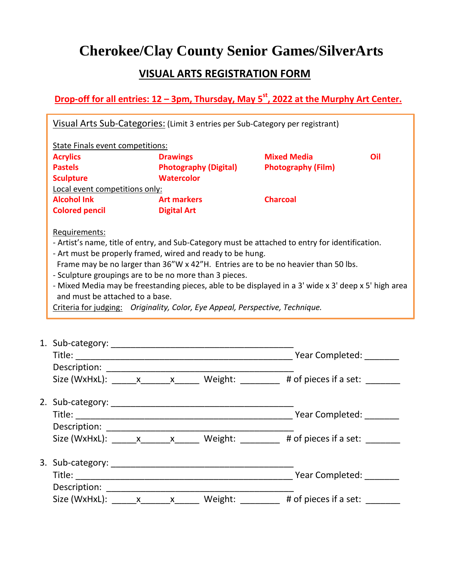#### **VISUAL ARTS REGISTRATION FORM**

**Drop-off for all entries: 12 – 3pm, Thursday, May 5 st, 2022 at the Murphy Art Center.**

| <b>Acrylics</b>                 | <b>State Finals event competitions:</b><br><b>Drawings</b>                                                                                                                                                                                                                                                                                                                                                                                                                                             | <b>Mixed Media</b>        | Oil |
|---------------------------------|--------------------------------------------------------------------------------------------------------------------------------------------------------------------------------------------------------------------------------------------------------------------------------------------------------------------------------------------------------------------------------------------------------------------------------------------------------------------------------------------------------|---------------------------|-----|
| <b>Pastels</b>                  | <b>Photography (Digital)</b>                                                                                                                                                                                                                                                                                                                                                                                                                                                                           | <b>Photography (Film)</b> |     |
| <b>Sculpture</b>                | <b>Watercolor</b>                                                                                                                                                                                                                                                                                                                                                                                                                                                                                      |                           |     |
| Local event competitions only:  |                                                                                                                                                                                                                                                                                                                                                                                                                                                                                                        |                           |     |
| <b>Alcohol Ink</b>              | <b>Art markers</b>                                                                                                                                                                                                                                                                                                                                                                                                                                                                                     | <b>Charcoal</b>           |     |
| <b>Colored pencil</b>           | <b>Digital Art</b>                                                                                                                                                                                                                                                                                                                                                                                                                                                                                     |                           |     |
| and must be attached to a base. | - Artist's name, title of entry, and Sub-Category must be attached to entry for identification.<br>- Art must be properly framed, wired and ready to be hung.<br>Frame may be no larger than 36"W x 42"H. Entries are to be no heavier than 50 lbs.<br>- Sculpture groupings are to be no more than 3 pieces.<br>- Mixed Media may be freestanding pieces, able to be displayed in a 3' wide x 3' deep x 5' high area<br>Criteria for judging: Originality, Color, Eye Appeal, Perspective, Technique. |                           |     |

|                                                                                                                                                                                                                                                                                                    |                |         | Year Completed: _______       |
|----------------------------------------------------------------------------------------------------------------------------------------------------------------------------------------------------------------------------------------------------------------------------------------------------|----------------|---------|-------------------------------|
|                                                                                                                                                                                                                                                                                                    |                |         |                               |
| Size (WxHxL): $x_1 x_2 x_3 x_4 x_5 x_6 x_7 x_8 x_9 x_1 x_2 x_3 x_4 x_5 x_6 x_7 x_8 x_9 x_1 x_2 x_3 x_4 x_5 x_6 x_7 x_8 x_9 x_1 x_2 x_3 x_4 x_5 x_6 x_7 x_8 x_9 x_1 x_2 x_3 x_4 x_5 x_6 x_7 x_8 x_9 x_1 x_2 x_3 x_4 x_5 x_6 x_7 x_8 x_9 x_1 x_2 x_3 x_4 x_5 x_6 x_7 x_8 x_9 x_1 x_2 x_3 x_4 x_5 x_$ |                |         | Weight: # of pieces if a set: |
|                                                                                                                                                                                                                                                                                                    |                |         |                               |
|                                                                                                                                                                                                                                                                                                    |                |         | Year Completed:               |
|                                                                                                                                                                                                                                                                                                    |                |         |                               |
| Size (WxHxL): $\frac{x}{1-x}$ x                                                                                                                                                                                                                                                                    |                |         | Weight: # of pieces if a set: |
|                                                                                                                                                                                                                                                                                                    |                |         |                               |
|                                                                                                                                                                                                                                                                                                    |                |         | Year Completed:               |
| Description: Description:                                                                                                                                                                                                                                                                          |                |         |                               |
| Size (WxHxL): $\frac{x}{x}$                                                                                                                                                                                                                                                                        | $\mathsf{X}^-$ | Weight: | # of pieces if a set:         |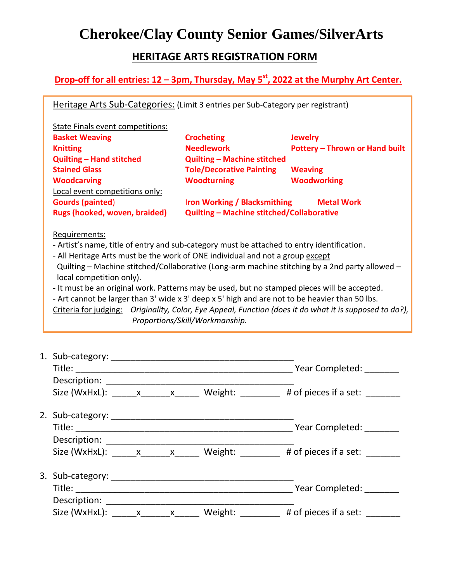#### **HERITAGE ARTS REGISTRATION FORM**

**Drop-off for all entries: 12 – 3pm, Thursday, May 5 st, 2022 at the Murphy Art Center.**

Heritage Arts Sub-Categories: (Limit 3 entries per Sub-Category per registrant)

| State Finals event competitions: |                                                  |                                       |
|----------------------------------|--------------------------------------------------|---------------------------------------|
| <b>Basket Weaving</b>            | <b>Crocheting</b>                                | <b>Jewelry</b>                        |
| <b>Knitting</b>                  | <b>Needlework</b>                                | <b>Pottery - Thrown or Hand built</b> |
| <b>Quilting - Hand stitched</b>  | <b>Quilting - Machine stitched</b>               |                                       |
| <b>Stained Glass</b>             | <b>Tole/Decorative Painting</b>                  | <b>Weaving</b>                        |
| <b>Woodcarving</b>               | <b>Woodturning</b>                               | <b>Woodworking</b>                    |
| Local event competitions only:   |                                                  |                                       |
| <b>Gourds (painted)</b>          | <b>Iron Working / Blacksmithing</b>              | <b>Metal Work</b>                     |
| Rugs (hooked, woven, braided)    | <b>Quilting - Machine stitched/Collaborative</b> |                                       |
| Requirements:                    |                                                  |                                       |

- Artist's name, title of entry and sub-category must be attached to entry identification.

- All Heritage Arts must be the work of ONE individual and not a group except Quilting – Machine stitched/Collaborative (Long-arm machine stitching by a 2nd party allowed – local competition only).

- It must be an original work. Patterns may be used, but no stamped pieces will be accepted.

- Art cannot be larger than 3' wide x 3' deep x 5' high and are not to be heavier than 50 lbs.

Criteria for judging: *Originality, Color, Eye Appeal, Function (does it do what it is supposed to do?), Proportions/Skill/Workmanship.*

|                                 |  |         | Year Completed: _______                           |
|---------------------------------|--|---------|---------------------------------------------------|
|                                 |  |         |                                                   |
| Size (WxHxL): $\frac{x}{1-x}$ x |  |         | Weight: # of pieces if a set:                     |
|                                 |  |         |                                                   |
|                                 |  |         | Year Completed: _______                           |
|                                 |  |         |                                                   |
|                                 |  |         | Size (WxHxL): x x x Weight: # of pieces if a set: |
|                                 |  |         |                                                   |
|                                 |  |         | Year Completed: ____                              |
| Description: Description:       |  |         |                                                   |
| Size (WxHxL): x x               |  | Weight: | # of pieces if a set:                             |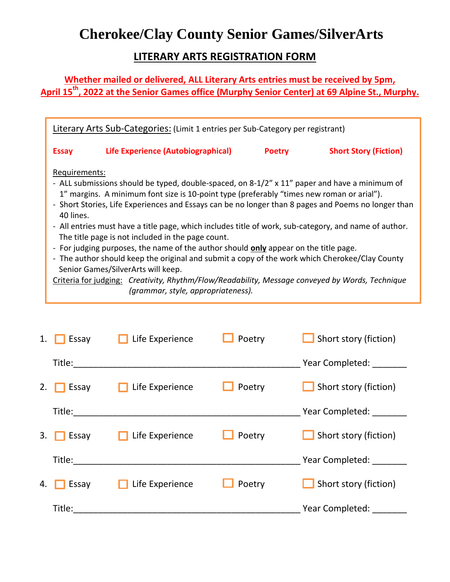#### **LITERARY ARTS REGISTRATION FORM**

**Whether mailed or delivered, ALL Literary Arts entries must be received by 5pm, April 15th, 2022 at the Senior Games office (Murphy Senior Center) at 69 Alpine St., Murphy.**

|                            | Literary Arts Sub-Categories: (Limit 1 entries per Sub-Category per registrant)                                                                                                                                                                                                                                                                                                                                                                                                                                                                                                                                                                                                                                                                                                                                                                 |               |                              |
|----------------------------|-------------------------------------------------------------------------------------------------------------------------------------------------------------------------------------------------------------------------------------------------------------------------------------------------------------------------------------------------------------------------------------------------------------------------------------------------------------------------------------------------------------------------------------------------------------------------------------------------------------------------------------------------------------------------------------------------------------------------------------------------------------------------------------------------------------------------------------------------|---------------|------------------------------|
| <b>Essay</b>               | Life Experience (Autobiographical)                                                                                                                                                                                                                                                                                                                                                                                                                                                                                                                                                                                                                                                                                                                                                                                                              | <b>Poetry</b> | <b>Short Story (Fiction)</b> |
| Requirements:<br>40 lines. | - ALL submissions should be typed, double-spaced, on 8-1/2" x 11" paper and have a minimum of<br>1" margins. A minimum font size is 10-point type (preferably "times new roman or arial").<br>- Short Stories, Life Experiences and Essays can be no longer than 8 pages and Poems no longer than<br>- All entries must have a title page, which includes title of work, sub-category, and name of author.<br>The title page is not included in the page count.<br>- For judging purposes, the name of the author should <b>only</b> appear on the title page.<br>- The author should keep the original and submit a copy of the work which Cherokee/Clay County<br>Senior Games/SilverArts will keep.<br>Criteria for judging: Creativity, Rhythm/Flow/Readability, Message conveyed by Words, Technique<br>(grammar, style, appropriateness). |               |                              |

| 1. $\Box$ Essay | $\Box$ Life Experience                                          | $\Box$ Poetry | $\Box$ Short story (fiction) |
|-----------------|-----------------------------------------------------------------|---------------|------------------------------|
| Title:          |                                                                 |               | Year Completed: ________     |
|                 | 2. <b>Essay</b> Life Experience                                 | $\Box$ Poetry | Short story (fiction)        |
|                 |                                                                 |               | Year Completed: _______      |
|                 | $\overline{\phantom{a}}$ 3. Essay <b>Fig. 1</b> Life Experience | $\Box$ Poetry | Short story (fiction)        |
| Title:          |                                                                 |               | Year Completed: _______      |
| 4. $\Box$ Essay | Life Experience                                                 | $\Box$ Poetry | Short story (fiction)        |
| Title:          |                                                                 |               | Year Completed: _______      |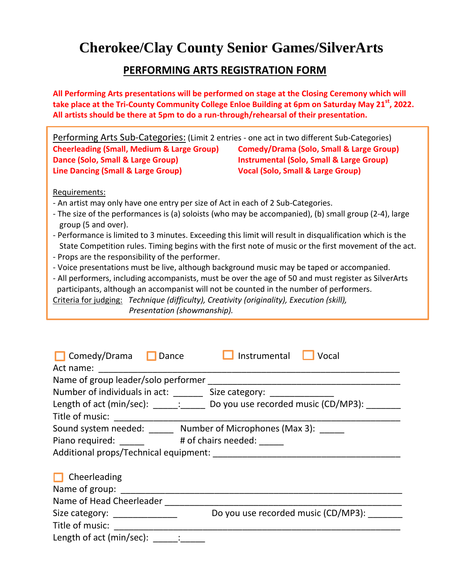#### **PERFORMING ARTS REGISTRATION FORM**

**All Performing Arts presentations will be performed on stage at the Closing Ceremony which will take place at the Tri-County Community College Enloe Building at 6pm on Saturday May 21 st , 2022. All artists should be there at 5pm to do a run-through/rehearsal of their presentation.**

| Performing Arts Sub-Categories: (Limit 2 entries - one act in two different Sub-Categories)           |                                                     |  |  |  |  |  |
|-------------------------------------------------------------------------------------------------------|-----------------------------------------------------|--|--|--|--|--|
| <b>Cheerleading (Small, Medium &amp; Large Group)</b>                                                 | <b>Comedy/Drama (Solo, Small &amp; Large Group)</b> |  |  |  |  |  |
| Dance (Solo, Small & Large Group)                                                                     | <b>Instrumental (Solo, Small &amp; Large Group)</b> |  |  |  |  |  |
| <b>Line Dancing (Small &amp; Large Group)</b>                                                         | <b>Vocal (Solo, Small &amp; Large Group)</b>        |  |  |  |  |  |
|                                                                                                       |                                                     |  |  |  |  |  |
| Requirements:                                                                                         |                                                     |  |  |  |  |  |
| - An artist may only have one entry per size of Act in each of 2 Sub-Categories.                      |                                                     |  |  |  |  |  |
| - The size of the performances is (a) soloists (who may be accompanied), (b) small group (2-4), large |                                                     |  |  |  |  |  |
| group (5 and over).                                                                                   |                                                     |  |  |  |  |  |

- Performance is limited to 3 minutes. Exceeding this limit will result in disqualification which is the State Competition rules. Timing begins with the first note of music or the first movement of the act.
- Props are the responsibility of the performer.
- Voice presentations must be live, although background music may be taped or accompanied.
- All performers, including accompanists, must be over the age of 50 and must register as SilverArts participants, although an accompanist will not be counted in the number of performers.

Criteria for judging: *Technique (difficulty), Creativity (originality), Execution (skill),* 

*Presentation (showmanship).*

| $\Box$ Comedy/Drama $\Box$<br>Dance<br>Act name:                      | Instrumental<br>Vocal                                                                                                 |
|-----------------------------------------------------------------------|-----------------------------------------------------------------------------------------------------------------------|
| Name of group leader/solo performer                                   | <u> 1980 - Jan James, maria al II-lea de Aliador de la contrada de la contrada de la contrada de la contrada de l</u> |
| Number of individuals in act: _________ Size category: ______________ |                                                                                                                       |
|                                                                       | Length of act (min/sec): _____: ______ Do you use recorded music (CD/MP3):                                            |
| Title of music: <u>_______________</u>                                |                                                                                                                       |
| Sound system needed: ______ Number of Microphones (Max 3): _____      |                                                                                                                       |
|                                                                       |                                                                                                                       |
|                                                                       |                                                                                                                       |
| $\Box$ Cheerleading<br>Name of group:                                 |                                                                                                                       |
| Name of Head Cheerleader                                              |                                                                                                                       |
| Size category: ______________                                         | Do you use recorded music (CD/MP3):                                                                                   |
|                                                                       |                                                                                                                       |
| Length of act (min/sec): : :                                          |                                                                                                                       |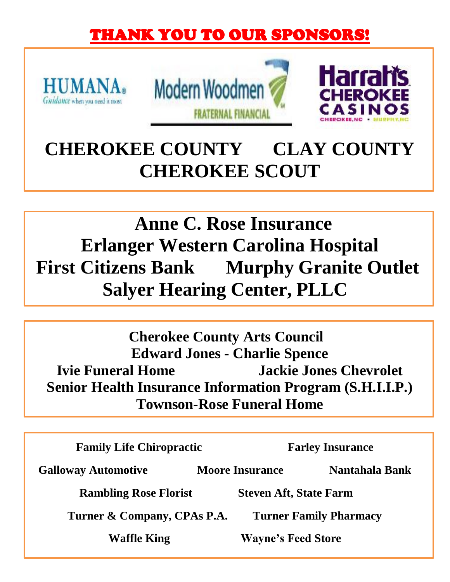# THANK YOU TO OUR SPONSORS!







# **CHEROKEE COUNTY CLAY COUNTY CHEROKEE SCOUT**

# **Anne C. Rose Insurance Erlanger Western Carolina Hospital First Citizens Bank Murphy Granite Outlet Salyer Hearing Center, PLLC**

**Cherokee County Arts Council Edward Jones - Charlie Spence Ivie Funeral Home Jackie Jones Chevrolet Senior Health Insurance Information Program (S.H.I.I.P.) Townson-Rose Funeral Home**

**Family Life Chiropractic Farley Insurance Galloway Automotive Moore Insurance Nantahala Bank Rambling Rose Florist Steven Aft, State Farm Turner & Company, CPAs P.A. Turner Family Pharmacy Waffle King Wayne's Feed Store**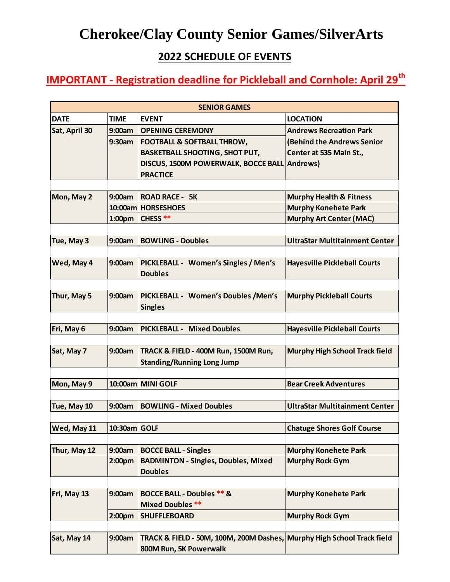### **2022 SCHEDULE OF EVENTS**

# **IMPORTANT - Registration deadline for Pickleball and Cornhole: April 29th**

| <b>SENIOR GAMES</b> |                    |                                                                        |                                       |  |  |
|---------------------|--------------------|------------------------------------------------------------------------|---------------------------------------|--|--|
| <b>DATE</b>         | <b>TIME</b>        | <b>EVENT</b>                                                           | <b>LOCATION</b>                       |  |  |
| Sat, April 30       | 9:00am             | <b>OPENING CEREMONY</b>                                                | <b>Andrews Recreation Park</b>        |  |  |
|                     | 9:30am             | <b>FOOTBALL &amp; SOFTBALL THROW,</b>                                  | (Behind the Andrews Senior            |  |  |
|                     |                    | <b>BASKETBALL SHOOTING, SHOT PUT,</b>                                  | Center at 535 Main St.,               |  |  |
|                     |                    | DISCUS, 1500M POWERWALK, BOCCE BALL                                    | <b>Andrews</b> )                      |  |  |
|                     |                    | <b>PRACTICE</b>                                                        |                                       |  |  |
|                     |                    |                                                                        |                                       |  |  |
| Mon, May 2          | 9:00am             | <b>ROAD RACE - 5K</b>                                                  | <b>Murphy Health &amp; Fitness</b>    |  |  |
|                     |                    | 10:00am HORSESHOES                                                     | <b>Murphy Konehete Park</b>           |  |  |
|                     | 1:00 <sub>pm</sub> | <b>CHESS**</b>                                                         | <b>Murphy Art Center (MAC)</b>        |  |  |
|                     |                    |                                                                        |                                       |  |  |
| Tue, May 3          | 9:00am             | <b>BOWLING - Doubles</b>                                               | <b>UltraStar Multitainment Center</b> |  |  |
|                     |                    |                                                                        |                                       |  |  |
| Wed, May 4          | 9:00am             | PICKLEBALL - Women's Singles / Men's                                   | <b>Hayesville Pickleball Courts</b>   |  |  |
|                     |                    | <b>Doubles</b>                                                         |                                       |  |  |
|                     |                    |                                                                        |                                       |  |  |
| Thur, May 5         | 9:00am             | PICKLEBALL - Women's Doubles / Men's                                   | <b>Murphy Pickleball Courts</b>       |  |  |
|                     |                    | <b>Singles</b>                                                         |                                       |  |  |
|                     |                    |                                                                        |                                       |  |  |
| Fri, May 6          | 9:00am             | <b>PICKLEBALL - Mixed Doubles</b>                                      | <b>Hayesville Pickleball Courts</b>   |  |  |
|                     |                    |                                                                        |                                       |  |  |
| Sat, May 7          | 9:00am             | TRACK & FIELD - 400M Run, 1500M Run,                                   | <b>Murphy High School Track field</b> |  |  |
|                     |                    | <b>Standing/Running Long Jump</b>                                      |                                       |  |  |
|                     |                    |                                                                        |                                       |  |  |
| Mon, May 9          |                    | 10:00am MINI GOLF                                                      | <b>Bear Creek Adventures</b>          |  |  |
|                     |                    |                                                                        |                                       |  |  |
| Tue, May 10         | 9:00am             | <b>BOWLING - Mixed Doubles</b>                                         | <b>UltraStar Multitainment Center</b> |  |  |
|                     |                    |                                                                        |                                       |  |  |
| Wed, May 11         | 10:30am GOLF       |                                                                        | <b>Chatuge Shores Golf Course</b>     |  |  |
|                     |                    |                                                                        |                                       |  |  |
| Thur, May 12        | 9:00am             | <b>BOCCE BALL - Singles</b>                                            | <b>Murphy Konehete Park</b>           |  |  |
|                     | 2:00 <sub>pm</sub> | <b>BADMINTON - Singles, Doubles, Mixed</b>                             | <b>Murphy Rock Gym</b>                |  |  |
|                     |                    | <b>Doubles</b>                                                         |                                       |  |  |
|                     |                    |                                                                        |                                       |  |  |
| Fri, May 13         | 9:00am             | <b>BOCCE BALL - Doubles ** &amp;</b>                                   | <b>Murphy Konehete Park</b>           |  |  |
|                     |                    | <b>Mixed Doubles **</b>                                                |                                       |  |  |
|                     | 2:00 <sub>pm</sub> | <b>SHUFFLEBOARD</b>                                                    | <b>Murphy Rock Gym</b>                |  |  |
|                     |                    |                                                                        |                                       |  |  |
| Sat, May 14         | 9:00am             | TRACK & FIELD - 50M, 100M, 200M Dashes, Murphy High School Track field |                                       |  |  |
|                     |                    | 800M Run, 5K Powerwalk                                                 |                                       |  |  |